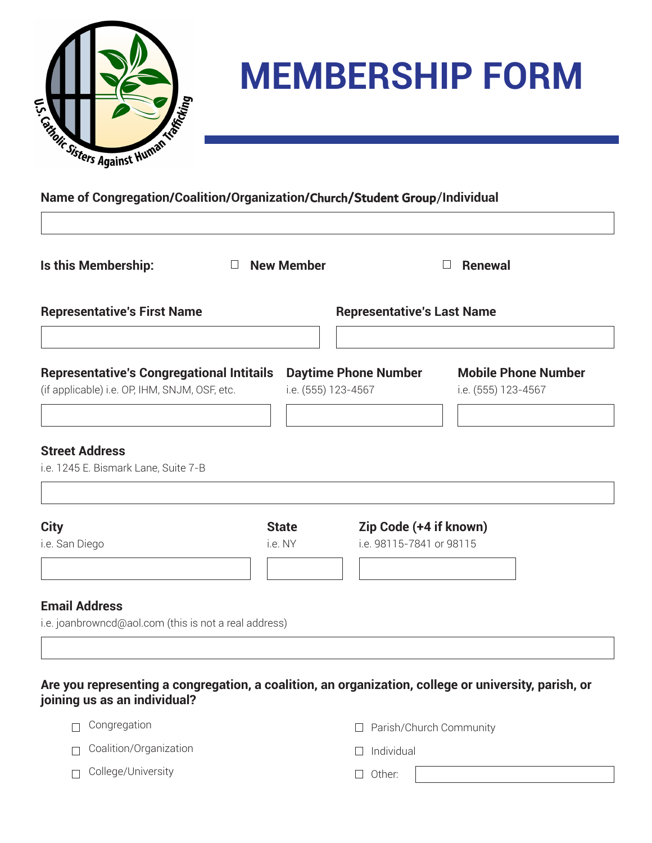

 $\sqrt{2}$ 

# **MEMBERSHIP FORM**

┐

### **Name of Congregation/Coalition/Organization/**Church/Student Group/**Individual**

|                                    | $\Box$ New Member                                                                                 |  | <b>Renewal</b><br>$\Box$                                                                                 |  |  |
|------------------------------------|---------------------------------------------------------------------------------------------------|--|----------------------------------------------------------------------------------------------------------|--|--|
| <b>Representative's First Name</b> |                                                                                                   |  | <b>Representative's Last Name</b>                                                                        |  |  |
|                                    |                                                                                                   |  | <b>Mobile Phone Number</b><br>i.e. (555) 123-4567                                                        |  |  |
|                                    |                                                                                                   |  |                                                                                                          |  |  |
| <b>State</b>                       |                                                                                                   |  |                                                                                                          |  |  |
| i.e. NY                            |                                                                                                   |  |                                                                                                          |  |  |
|                                    |                                                                                                   |  |                                                                                                          |  |  |
|                                    | <b>Representative's Congregational Intitails</b><br>(if applicable) i.e. OP, IHM, SNJM, OSF, etc. |  | <b>Daytime Phone Number</b><br>i.e. (555) 123-4567<br>Zip Code (+4 if known)<br>i.e. 98115-7841 or 98115 |  |  |

**ongregation, a coalition, an organization, college or university, parish, or joining us as an individual?**

| □ Congregation                | □ Parish/Church Community |
|-------------------------------|---------------------------|
| $\Box$ Coalition/Organization | $\Box$ Individual         |
| $\Box$ College/University     | $\Box$ Other:             |